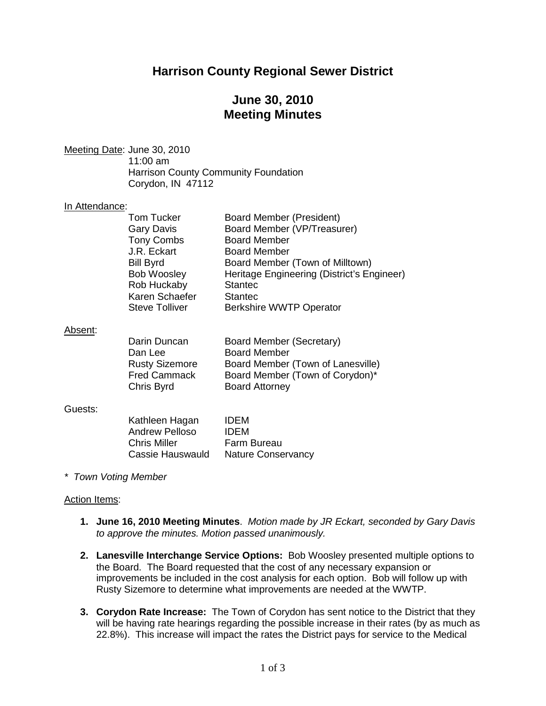## **Harrison County Regional Sewer District**

## **June 30, 2010 Meeting Minutes**

Meeting Date: June 30, 2010 11:00 am Harrison County Community Foundation Corydon, IN 47112

### In Attendance:

| <b>Tom Tucker</b>     | <b>Board Member (President)</b>            |
|-----------------------|--------------------------------------------|
| <b>Gary Davis</b>     | Board Member (VP/Treasurer)                |
| <b>Tony Combs</b>     | <b>Board Member</b>                        |
| J.R. Eckart           | <b>Board Member</b>                        |
| <b>Bill Byrd</b>      | Board Member (Town of Milltown)            |
| <b>Bob Woosley</b>    | Heritage Engineering (District's Engineer) |
| Rob Huckaby           | <b>Stantec</b>                             |
| Karen Schaefer        | <b>Stantec</b>                             |
| <b>Steve Tolliver</b> | <b>Berkshire WWTP Operator</b>             |
|                       |                                            |

#### Absent :

| Board Member (Secretary)          |
|-----------------------------------|
| <b>Board Member</b>               |
| Board Member (Town of Lanesville) |
| Board Member (Town of Corydon)*   |
| <b>Board Attorney</b>             |
|                                   |

#### Guests:

| Kathleen Hagan        | <b>IDEM</b>               |
|-----------------------|---------------------------|
| <b>Andrew Pelloso</b> | <b>IDEM</b>               |
| <b>Chris Miller</b>   | Farm Bureau               |
| Cassie Hauswauld      | <b>Nature Conservancy</b> |

*\* Town Voting Member*

#### Action Items:

- **1. June 16, 2010 Meeting Minutes**. *Motion made by JR Eckart, seconded by Gary Davis to approve the minutes. Motion passed unanimously.*
- **2. Lanesville Interchange Service Options:** Bob Woosley presented multiple options to the Board. The Board requested that the cost of any necessary expansion or improvements be included in the cost analysis for each option. Bob will follow up with Rusty Sizemore to determine what improvements are needed at the WWTP.
- **3. Corydon Rate Increase:** The Town of Corydon has sent notice to the District that they will be having rate hearings regarding the possible increase in their rates (by as much as 22.8%). This increase will impact the rates the District pays for service to the Medical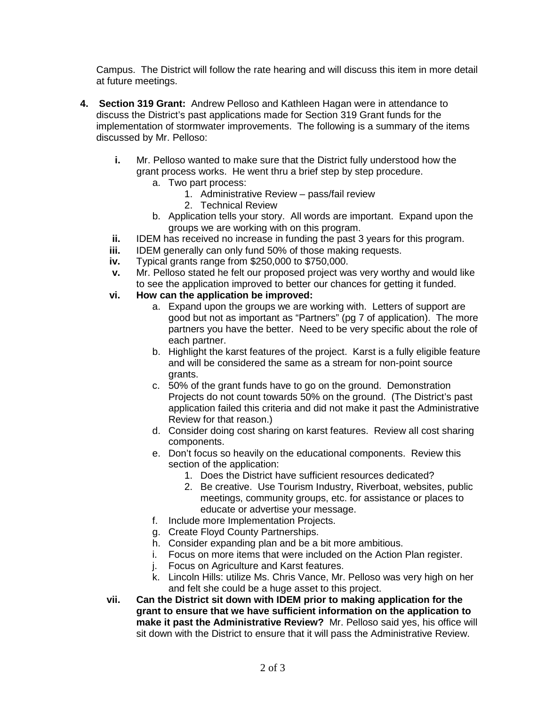Campus. The District will follow the rate hearing and will discuss this item in more detail at future meetings.

- **4. Section 319 Grant:** Andrew Pelloso and Kathleen Hagan were in attendance to discuss the District's past applications made for Section 319 Grant funds for the implementation of stormwater improvements. The following is a summary of the items discussed by Mr. Pelloso:
	- **i.** Mr. Pelloso wanted to make sure that the District fully understood how the grant process works. He went thru a brief step by step procedure.
		- a. Two part process:
			- 1. Administrative Review pass/fail review
			- 2. Technical Review
		- b. Application tells your story. All words are important. Expand upon the groups we are working with on this program.
	- **ii.** IDEM has received no increase in funding the past 3 years for this program.<br>**iii.** IDEM generally can only fund 50% of those making requests.
	- **iii.** IDEM generally can only fund 50% of those making requests.<br>**iv.** Typical grants range from \$250,000 to \$750,000.
	- **iv.** Typical grants range from \$250,000 to \$750,000.
	- **v.** Mr. Pelloso stated he felt our proposed project was very worthy and would like to see the application improved to better our chances for getting it funded.
	- **vi. How can the application be improved:**
		- a. Expand upon the groups we are working with. Letters of support are good but not as important as "Partners" (pg 7 of application). The more partners you have the better. Need to be very specific about the role of each partner.
		- b. Highlight the karst features of the project. Karst is a fully eligible feature and will be considered the same as a stream for non-point source grants.
		- c. 50% of the grant funds have to go on the ground. Demonstration Projects do not count towards 50% on the ground. (The District's past application failed this criteria and did not make it past the Administrative Review for that reason.)
		- d. Consider doing cost sharing on karst features. Review all cost sharing components.
		- e. Don't focus so heavily on the educational components. Review this section of the application:
			- 1. Does the District have sufficient resources dedicated?
			- 2. Be creative. Use Tourism Industry, Riverboat, websites, public meetings, community groups, etc. for assistance or places to educate or advertise your message.
		- f. Include more Implementation Projects.
		- g. Create Floyd County Partnerships.
		- h. Consider expanding plan and be a bit more ambitious.
		- i. Focus on more items that were included on the Action Plan register.
		- j. Focus on Agriculture and Karst features.
		- k. Lincoln Hills: utilize Ms. Chris Vance, Mr. Pelloso was very high on her and felt she could be a huge asset to this project.
	- **vii. Can the District sit down with IDEM prior to making application for the grant to ensure that we have sufficient information on the application to make it past the Administrative Review?** Mr. Pelloso said yes, his office will sit down with the District to ensure that it will pass the Administrative Review.